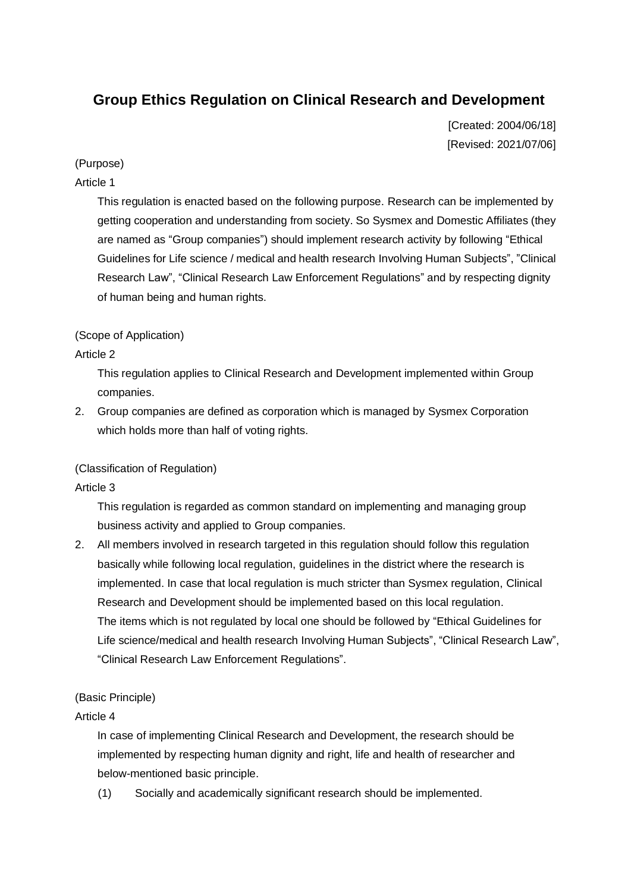# **Group Ethics Regulation on Clinical Research and Development**

[Created: 2004/06/18] [Revised: 2021/07/06]

# (Purpose)

# Article 1

This regulation is enacted based on the following purpose. Research can be implemented by getting cooperation and understanding from society. So Sysmex and Domestic Affiliates (they are named as "Group companies") should implement research activity by following "Ethical Guidelines for Life science / medical and health research Involving Human Subjects", "Clinical Research Law", "Clinical Research Law Enforcement Regulations" and by respecting dignity of human being and human rights.

# (Scope of Application)

# Article 2

This regulation applies to Clinical Research and Development implemented within Group companies.

2. Group companies are defined as corporation which is managed by Sysmex Corporation which holds more than half of voting rights.

# (Classification of Regulation)

# Article 3

This regulation is regarded as common standard on implementing and managing group business activity and applied to Group companies.

2. All members involved in research targeted in this regulation should follow this regulation basically while following local regulation, guidelines in the district where the research is implemented. In case that local regulation is much stricter than Sysmex regulation, Clinical Research and Development should be implemented based on this local regulation. The items which is not regulated by local one should be followed by "Ethical Guidelines for Life science/medical and health research Involving Human Subjects", "Clinical Research Law", "Clinical Research Law Enforcement Regulations".

# (Basic Principle)

# Article 4

In case of implementing Clinical Research and Development, the research should be implemented by respecting human dignity and right, life and health of researcher and below-mentioned basic principle.

(1) Socially and academically significant research should be implemented.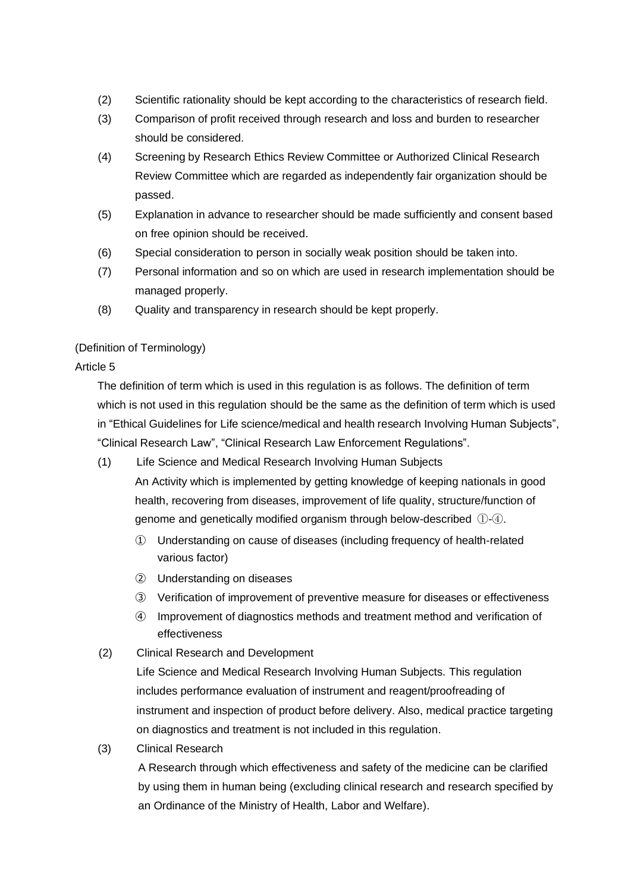- (2) Scientific rationality should be kept according to the characteristics of research field.
- (3) Comparison of profit received through research and loss and burden to researcher should be considered.
- (4) Screening by Research Ethics Review Committee or Authorized Clinical Research Review Committee which are regarded as independently fair organization should be passed.
- (5) Explanation in advance to researcher should be made sufficiently and consent based on free opinion should be received.
- (6) Special consideration to person in socially weak position should be taken into.
- (7) Personal information and so on which are used in research implementation should be managed properly.
- (8) Quality and transparency in research should be kept properly.

# (Definition of Terminology)

# Article 5

The definition of term which is used in this regulation is as follows. The definition of term which is not used in this regulation should be the same as the definition of term which is used in "Ethical Guidelines for Life science/medical and health research Involving Human Subjects", "Clinical Research Law", "Clinical Research Law Enforcement Regulations".

(1) Life Science and Medical Research Involving Human Subjects

An Activity which is implemented by getting knowledge of keeping nationals in good health, recovering from diseases, improvement of life quality, structure/function of genome and genetically modified organism through below-described ①-④.

- ① Understanding on cause of diseases (including frequency of health-related various factor)
- ② Understanding on diseases
- ③ Verification of improvement of preventive measure for diseases or effectiveness
- ④ Improvement of diagnostics methods and treatment method and verification of effectiveness
- (2) Clinical Research and Development

Life Science and Medical Research Involving Human Subjects. This regulation includes performance evaluation of instrument and reagent/proofreading of instrument and inspection of product before delivery. Also, medical practice targeting on diagnostics and treatment is not included in this regulation.

(3) Clinical Research

A Research through which effectiveness and safety of the medicine can be clarified by using them in human being (excluding clinical research and research specified by an Ordinance of the Ministry of Health, Labor and Welfare).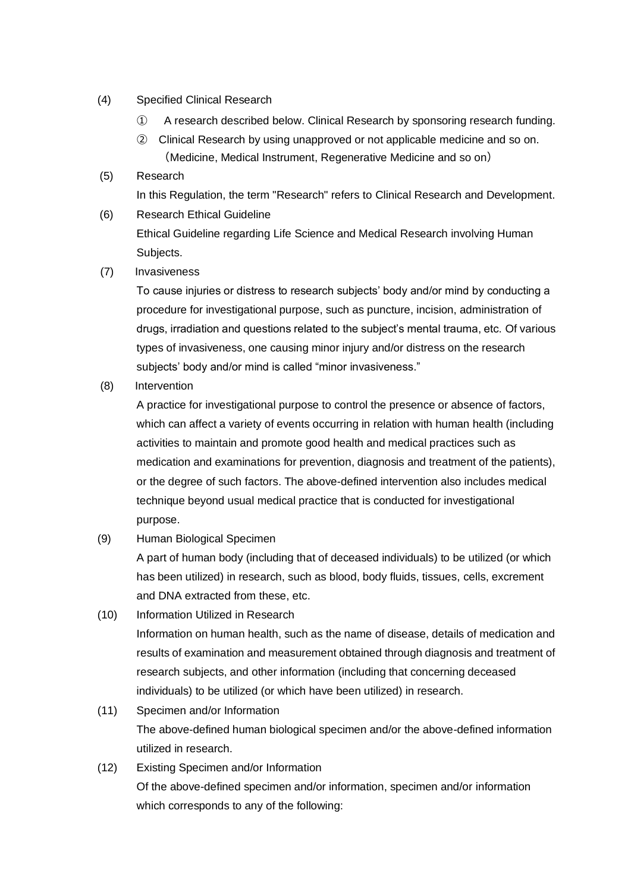- (4) Specified Clinical Research
	- ① A research described below. Clinical Research by sponsoring research funding.
	- ② Clinical Research by using unapproved or not applicable medicine and so on. (Medicine, Medical Instrument, Regenerative Medicine and so on)
- (5) Research In this Regulation, the term "Research" refers to Clinical Research and Development. (6) Research Ethical Guideline Ethical Guideline regarding Life Science and Medical Research involving Human
	- Subjects.
- (7) Invasiveness

To cause injuries or distress to research subjects' body and/or mind by conducting a procedure for investigational purpose, such as puncture, incision, administration of drugs, irradiation and questions related to the subject's mental trauma, etc. Of various types of invasiveness, one causing minor injury and/or distress on the research subjects' body and/or mind is called "minor invasiveness."

(8) Intervention

A practice for investigational purpose to control the presence or absence of factors, which can affect a variety of events occurring in relation with human health (including activities to maintain and promote good health and medical practices such as medication and examinations for prevention, diagnosis and treatment of the patients), or the degree of such factors. The above-defined intervention also includes medical technique beyond usual medical practice that is conducted for investigational purpose.

(9) Human Biological Specimen

A part of human body (including that of deceased individuals) to be utilized (or which has been utilized) in research, such as blood, body fluids, tissues, cells, excrement and DNA extracted from these, etc.

(10) Information Utilized in Research

Information on human health, such as the name of disease, details of medication and results of examination and measurement obtained through diagnosis and treatment of research subjects, and other information (including that concerning deceased individuals) to be utilized (or which have been utilized) in research.

(11) Specimen and/or Information

The above-defined human biological specimen and/or the above-defined information utilized in research.

(12) Existing Specimen and/or Information Of the above-defined specimen and/or information, specimen and/or information which corresponds to any of the following: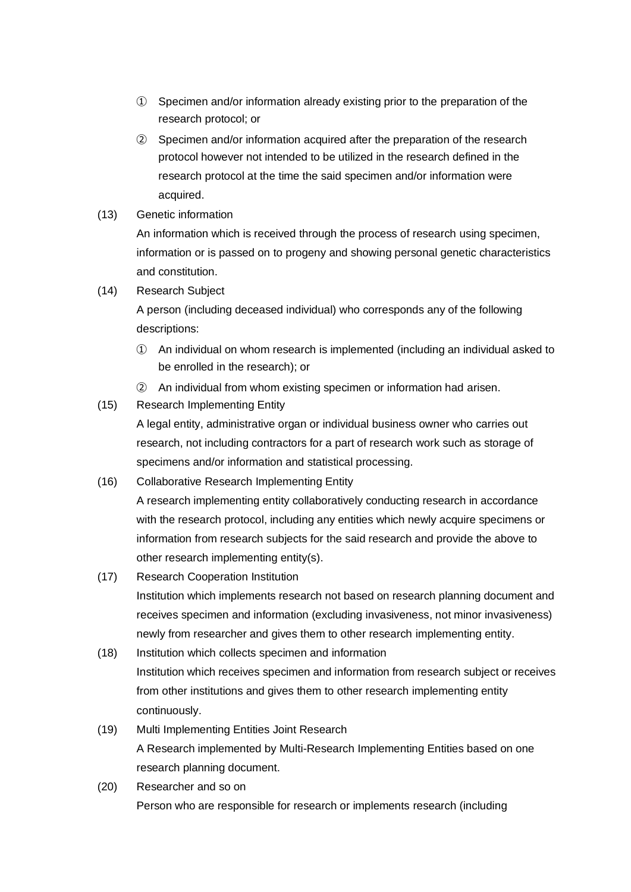- ① Specimen and/or information already existing prior to the preparation of the research protocol; or
- ② Specimen and/or information acquired after the preparation of the research protocol however not intended to be utilized in the research defined in the research protocol at the time the said specimen and/or information were acquired.
- (13) Genetic information

An information which is received through the process of research using specimen, information or is passed on to progeny and showing personal genetic characteristics and constitution.

(14) Research Subject

A person (including deceased individual) who corresponds any of the following descriptions:

- ① An individual on whom research is implemented (including an individual asked to be enrolled in the research); or
- ② An individual from whom existing specimen or information had arisen.
- (15) Research Implementing Entity

A legal entity, administrative organ or individual business owner who carries out research, not including contractors for a part of research work such as storage of specimens and/or information and statistical processing.

- (16) Collaborative Research Implementing Entity A research implementing entity collaboratively conducting research in accordance with the research protocol, including any entities which newly acquire specimens or information from research subjects for the said research and provide the above to other research implementing entity(s).
- (17) Research Cooperation Institution Institution which implements research not based on research planning document and receives specimen and information (excluding invasiveness, not minor invasiveness) newly from researcher and gives them to other research implementing entity.
- (18) Institution which collects specimen and information Institution which receives specimen and information from research subject or receives from other institutions and gives them to other research implementing entity continuously.
- (19) Multi Implementing Entities Joint Research A Research implemented by Multi-Research Implementing Entities based on one research planning document.
- (20) Researcher and so on Person who are responsible for research or implements research (including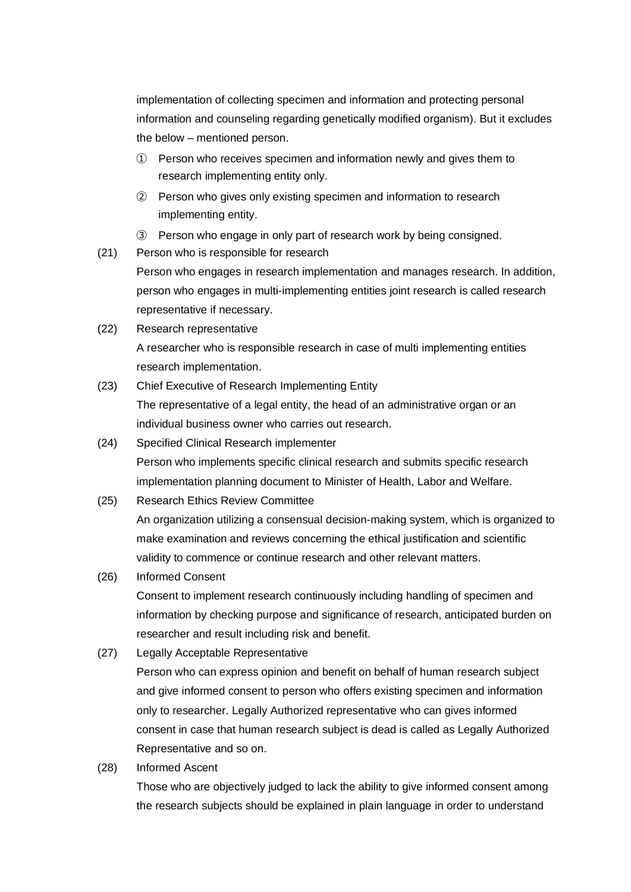implementation of collecting specimen and information and protecting personal information and counseling regarding genetically modified organism). But it excludes the below – mentioned person.

- ① Person who receives specimen and information newly and gives them to research implementing entity only.
- ② Person who gives only existing specimen and information to research implementing entity.
- ③ Person who engage in only part of research work by being consigned.
- (21) Person who is responsible for research

Person who engages in research implementation and manages research. In addition, person who engages in multi-implementing entities joint research is called research representative if necessary.

- (22) Research representative A researcher who is responsible research in case of multi implementing entities research implementation.
- (23) Chief Executive of Research Implementing Entity The representative of a legal entity, the head of an administrative organ or an individual business owner who carries out research.
- (24) Specified Clinical Research implementer Person who implements specific clinical research and submits specific research implementation planning document to Minister of Health, Labor and Welfare.
- (25) Research Ethics Review Committee

An organization utilizing a consensual decision-making system, which is organized to make examination and reviews concerning the ethical justification and scientific validity to commence or continue research and other relevant matters.

(26) Informed Consent

Consent to implement research continuously including handling of specimen and information by checking purpose and significance of research, anticipated burden on researcher and result including risk and benefit.

(27) Legally Acceptable Representative

Person who can express opinion and benefit on behalf of human research subject and give informed consent to person who offers existing specimen and information only to researcher. Legally Authorized representative who can gives informed consent in case that human research subject is dead is called as Legally Authorized Representative and so on.

(28) Informed Ascent

Those who are objectively judged to lack the ability to give informed consent among the research subjects should be explained in plain language in order to understand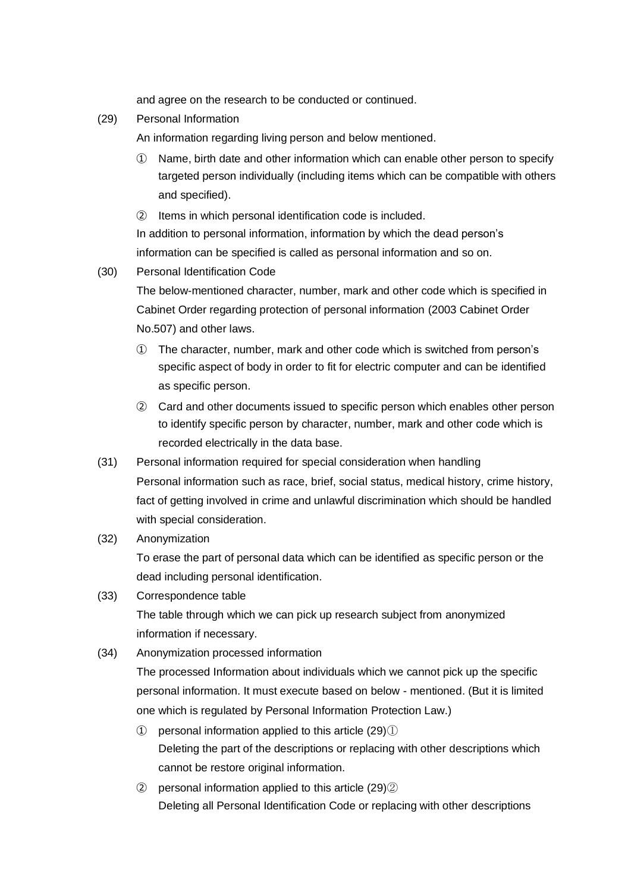and agree on the research to be conducted or continued.

(29) Personal Information

An information regarding living person and below mentioned.

- ① Name, birth date and other information which can enable other person to specify targeted person individually (including items which can be compatible with others and specified).
- ② Items in which personal identification code is included. In addition to personal information, information by which the dead person's information can be specified is called as personal information and so on.
- (30) Personal Identification Code
	- The below-mentioned character, number, mark and other code which is specified in Cabinet Order regarding protection of personal information (2003 Cabinet Order No.507) and other laws.
	- ① The character, number, mark and other code which is switched from person's specific aspect of body in order to fit for electric computer and can be identified as specific person.
	- ② Card and other documents issued to specific person which enables other person to identify specific person by character, number, mark and other code which is recorded electrically in the data base.
- (31) Personal information required for special consideration when handling Personal information such as race, brief, social status, medical history, crime history, fact of getting involved in crime and unlawful discrimination which should be handled with special consideration.
- (32) Anonymization

To erase the part of personal data which can be identified as specific person or the dead including personal identification.

- (33) Correspondence table The table through which we can pick up research subject from anonymized information if necessary.
- (34) Anonymization processed information

The processed Information about individuals which we cannot pick up the specific personal information. It must execute based on below - mentioned. (But it is limited one which is regulated by Personal Information Protection Law.)

- ① personal information applied to this article (29)① Deleting the part of the descriptions or replacing with other descriptions which cannot be restore original information.
- ② personal information applied to this article (29)② Deleting all Personal Identification Code or replacing with other descriptions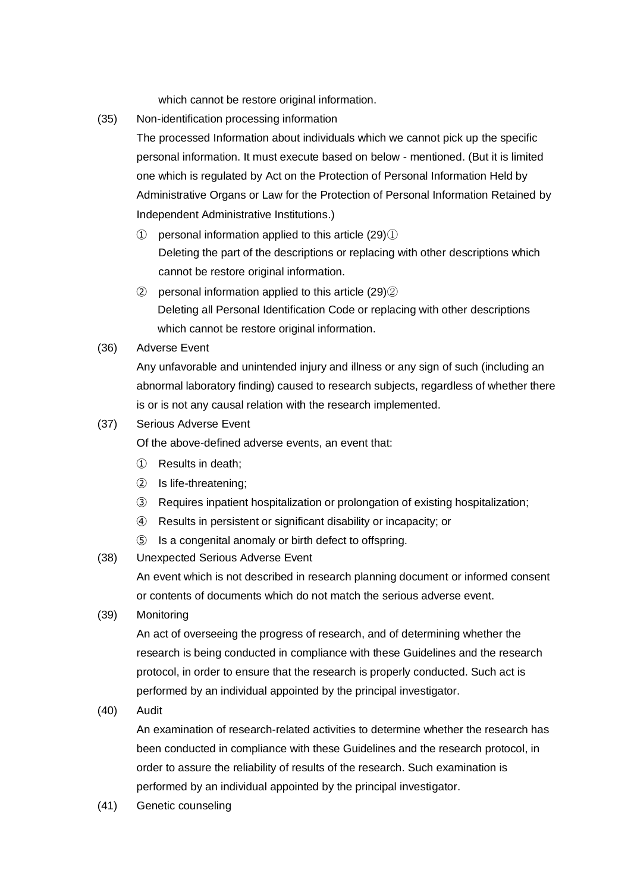which cannot be restore original information.

- (35) Non-identification processing information
	- The processed Information about individuals which we cannot pick up the specific personal information. It must execute based on below - mentioned. (But it is limited one which is regulated by Act on the Protection of Personal Information Held by Administrative Organs or Law for the Protection of Personal Information Retained by Independent Administrative Institutions.)
		- $\Omega$  personal information applied to this article (29) $\Omega$ Deleting the part of the descriptions or replacing with other descriptions which cannot be restore original information.
	- $\Omega$  personal information applied to this article (29) $\Omega$ ) Deleting all Personal Identification Code or replacing with other descriptions which cannot be restore original information.
- (36) Adverse Event

Any unfavorable and unintended injury and illness or any sign of such (including an abnormal laboratory finding) caused to research subjects, regardless of whether there is or is not any causal relation with the research implemented.

(37) Serious Adverse Event

Of the above-defined adverse events, an event that:

- ① Results in death;
- ② Is life-threatening;
- ③ Requires inpatient hospitalization or prolongation of existing hospitalization;
- ④ Results in persistent or significant disability or incapacity; or
- ⑤ Is a congenital anomaly or birth defect to offspring.
- (38) Unexpected Serious Adverse Event

An event which is not described in research planning document or informed consent or contents of documents which do not match the serious adverse event.

(39) Monitoring

An act of overseeing the progress of research, and of determining whether the research is being conducted in compliance with these Guidelines and the research protocol, in order to ensure that the research is properly conducted. Such act is performed by an individual appointed by the principal investigator.

(40) Audit

An examination of research-related activities to determine whether the research has been conducted in compliance with these Guidelines and the research protocol, in order to assure the reliability of results of the research. Such examination is performed by an individual appointed by the principal investigator.

(41) Genetic counseling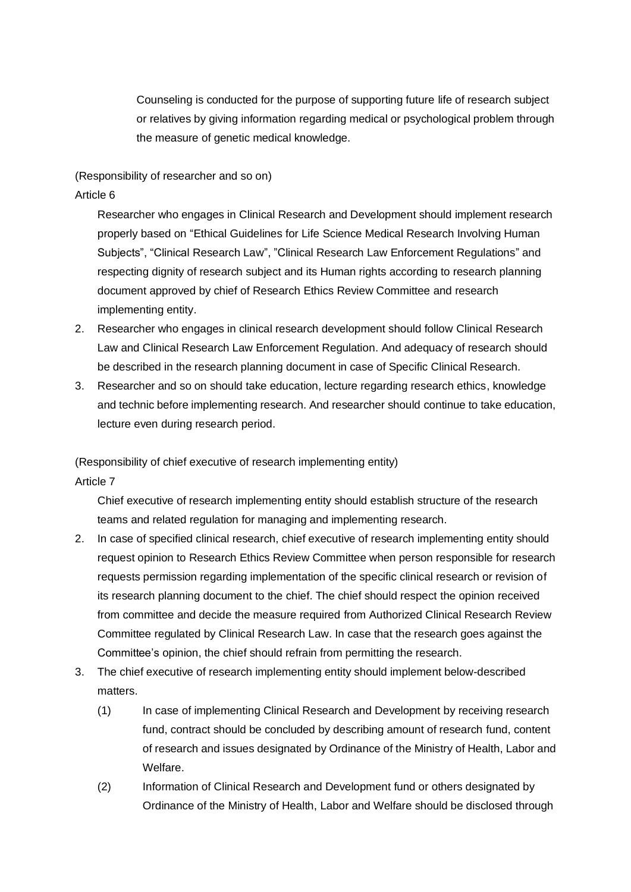Counseling is conducted for the purpose of supporting future life of research subject or relatives by giving information regarding medical or psychological problem through the measure of genetic medical knowledge.

#### (Responsibility of researcher and so on)

#### Article 6

Researcher who engages in Clinical Research and Development should implement research properly based on "Ethical Guidelines for Life Science Medical Research Involving Human Subjects", "Clinical Research Law", "Clinical Research Law Enforcement Regulations" and respecting dignity of research subject and its Human rights according to research planning document approved by chief of Research Ethics Review Committee and research implementing entity.

- 2. Researcher who engages in clinical research development should follow Clinical Research Law and Clinical Research Law Enforcement Regulation. And adequacy of research should be described in the research planning document in case of Specific Clinical Research.
- 3. Researcher and so on should take education, lecture regarding research ethics, knowledge and technic before implementing research. And researcher should continue to take education, lecture even during research period.

(Responsibility of chief executive of research implementing entity)

#### Article 7

Chief executive of research implementing entity should establish structure of the research teams and related regulation for managing and implementing research.

- 2. In case of specified clinical research, chief executive of research implementing entity should request opinion to Research Ethics Review Committee when person responsible for research requests permission regarding implementation of the specific clinical research or revision of its research planning document to the chief. The chief should respect the opinion received from committee and decide the measure required from Authorized Clinical Research Review Committee regulated by Clinical Research Law. In case that the research goes against the Committee's opinion, the chief should refrain from permitting the research.
- 3. The chief executive of research implementing entity should implement below-described matters.
	- (1) In case of implementing Clinical Research and Development by receiving research fund, contract should be concluded by describing amount of research fund, content of research and issues designated by Ordinance of the Ministry of Health, Labor and Welfare.
	- (2) Information of Clinical Research and Development fund or others designated by Ordinance of the Ministry of Health, Labor and Welfare should be disclosed through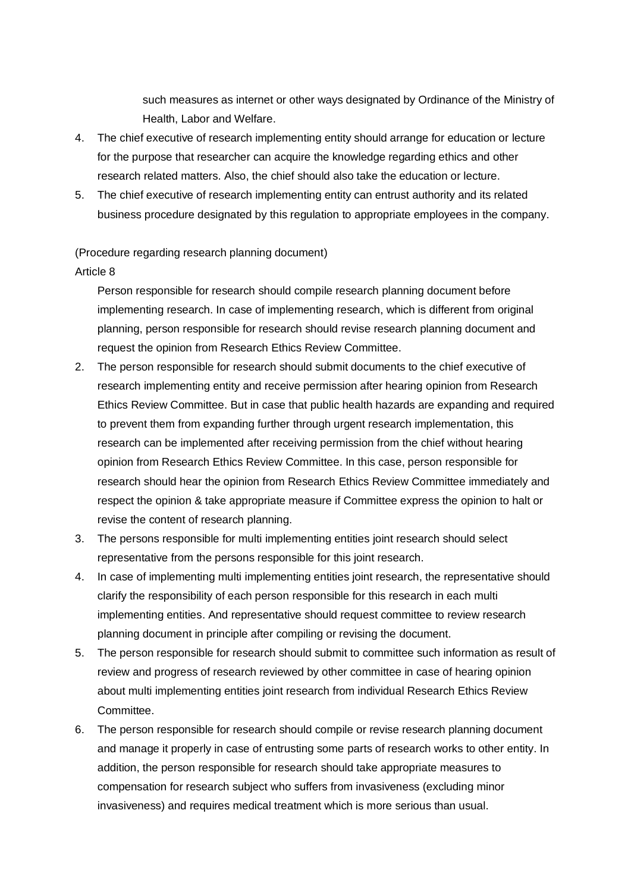such measures as internet or other ways designated by Ordinance of the Ministry of Health, Labor and Welfare.

- 4. The chief executive of research implementing entity should arrange for education or lecture for the purpose that researcher can acquire the knowledge regarding ethics and other research related matters. Also, the chief should also take the education or lecture.
- 5. The chief executive of research implementing entity can entrust authority and its related business procedure designated by this regulation to appropriate employees in the company.

#### (Procedure regarding research planning document)

#### Article 8

Person responsible for research should compile research planning document before implementing research. In case of implementing research, which is different from original planning, person responsible for research should revise research planning document and request the opinion from Research Ethics Review Committee.

- 2. The person responsible for research should submit documents to the chief executive of research implementing entity and receive permission after hearing opinion from Research Ethics Review Committee. But in case that public health hazards are expanding and required to prevent them from expanding further through urgent research implementation, this research can be implemented after receiving permission from the chief without hearing opinion from Research Ethics Review Committee. In this case, person responsible for research should hear the opinion from Research Ethics Review Committee immediately and respect the opinion & take appropriate measure if Committee express the opinion to halt or revise the content of research planning.
- 3. The persons responsible for multi implementing entities joint research should select representative from the persons responsible for this joint research.
- 4. In case of implementing multi implementing entities joint research, the representative should clarify the responsibility of each person responsible for this research in each multi implementing entities. And representative should request committee to review research planning document in principle after compiling or revising the document.
- 5. The person responsible for research should submit to committee such information as result of review and progress of research reviewed by other committee in case of hearing opinion about multi implementing entities joint research from individual Research Ethics Review Committee.
- 6. The person responsible for research should compile or revise research planning document and manage it properly in case of entrusting some parts of research works to other entity. In addition, the person responsible for research should take appropriate measures to compensation for research subject who suffers from invasiveness (excluding minor invasiveness) and requires medical treatment which is more serious than usual.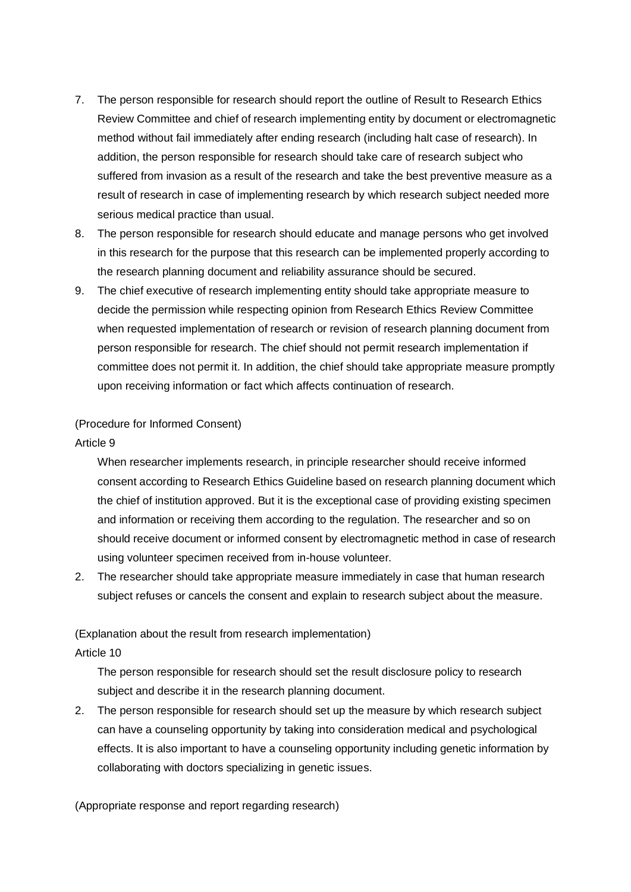- 7. The person responsible for research should report the outline of Result to Research Ethics Review Committee and chief of research implementing entity by document or electromagnetic method without fail immediately after ending research (including halt case of research). In addition, the person responsible for research should take care of research subject who suffered from invasion as a result of the research and take the best preventive measure as a result of research in case of implementing research by which research subject needed more serious medical practice than usual.
- 8. The person responsible for research should educate and manage persons who get involved in this research for the purpose that this research can be implemented properly according to the research planning document and reliability assurance should be secured.
- 9. The chief executive of research implementing entity should take appropriate measure to decide the permission while respecting opinion from Research Ethics Review Committee when requested implementation of research or revision of research planning document from person responsible for research. The chief should not permit research implementation if committee does not permit it. In addition, the chief should take appropriate measure promptly upon receiving information or fact which affects continuation of research.

#### (Procedure for Informed Consent)

#### Article 9

When researcher implements research, in principle researcher should receive informed consent according to Research Ethics Guideline based on research planning document which the chief of institution approved. But it is the exceptional case of providing existing specimen and information or receiving them according to the regulation. The researcher and so on should receive document or informed consent by electromagnetic method in case of research using volunteer specimen received from in-house volunteer.

2. The researcher should take appropriate measure immediately in case that human research subject refuses or cancels the consent and explain to research subject about the measure.

# (Explanation about the result from research implementation)

# Article 10

The person responsible for research should set the result disclosure policy to research subject and describe it in the research planning document.

2. The person responsible for research should set up the measure by which research subject can have a counseling opportunity by taking into consideration medical and psychological effects. It is also important to have a counseling opportunity including genetic information by collaborating with doctors specializing in genetic issues.

(Appropriate response and report regarding research)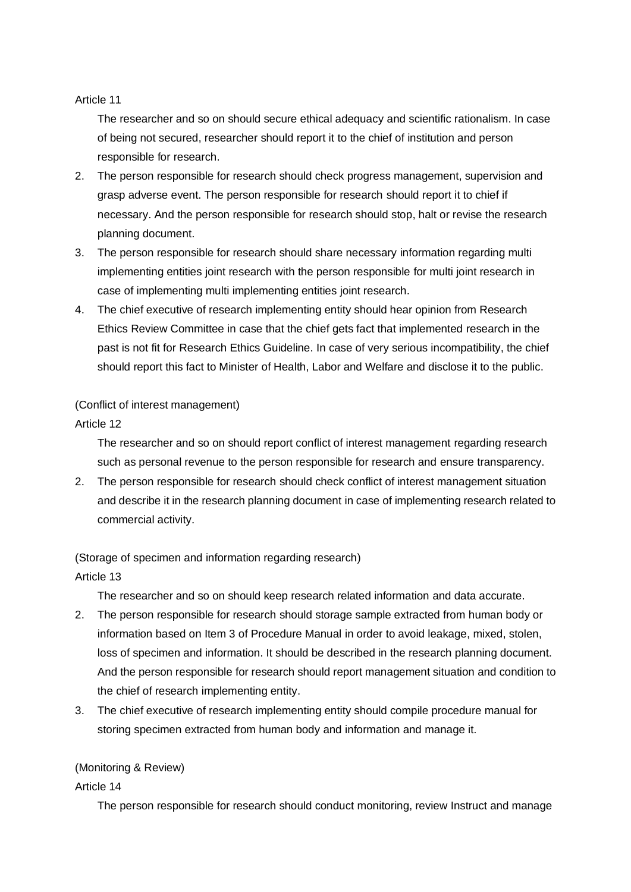#### Article 11

The researcher and so on should secure ethical adequacy and scientific rationalism. In case of being not secured, researcher should report it to the chief of institution and person responsible for research.

- 2. The person responsible for research should check progress management, supervision and grasp adverse event. The person responsible for research should report it to chief if necessary. And the person responsible for research should stop, halt or revise the research planning document.
- 3. The person responsible for research should share necessary information regarding multi implementing entities joint research with the person responsible for multi joint research in case of implementing multi implementing entities joint research.
- 4. The chief executive of research implementing entity should hear opinion from Research Ethics Review Committee in case that the chief gets fact that implemented research in the past is not fit for Research Ethics Guideline. In case of very serious incompatibility, the chief should report this fact to Minister of Health, Labor and Welfare and disclose it to the public.

# (Conflict of interest management)

# Article 12

The researcher and so on should report conflict of interest management regarding research such as personal revenue to the person responsible for research and ensure transparency.

2. The person responsible for research should check conflict of interest management situation and describe it in the research planning document in case of implementing research related to commercial activity.

(Storage of specimen and information regarding research)

# Article 13

The researcher and so on should keep research related information and data accurate.

- 2. The person responsible for research should storage sample extracted from human body or information based on Item 3 of Procedure Manual in order to avoid leakage, mixed, stolen, loss of specimen and information. It should be described in the research planning document. And the person responsible for research should report management situation and condition to the chief of research implementing entity.
- 3. The chief executive of research implementing entity should compile procedure manual for storing specimen extracted from human body and information and manage it.

# (Monitoring & Review)

# Article 14

The person responsible for research should conduct monitoring, review Instruct and manage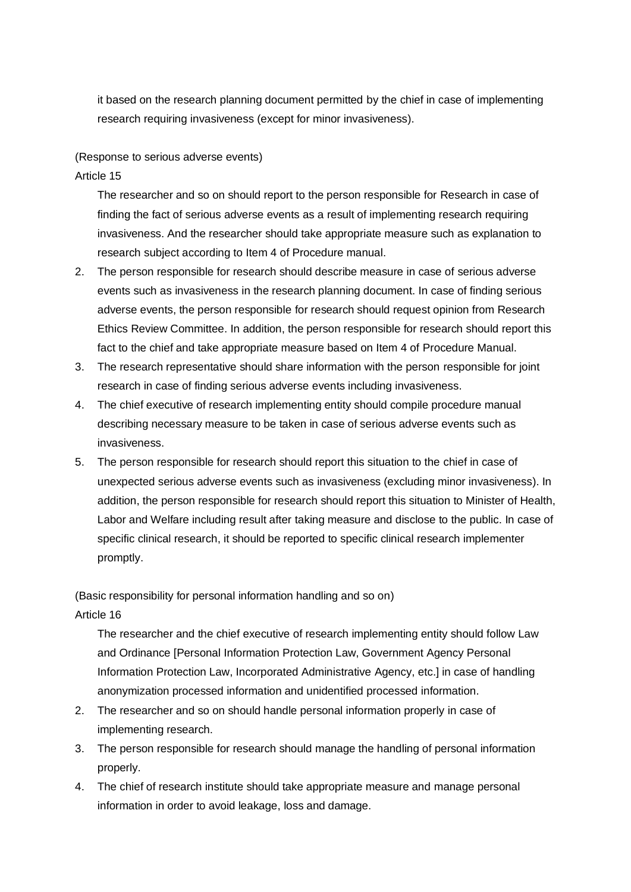it based on the research planning document permitted by the chief in case of implementing research requiring invasiveness (except for minor invasiveness).

### (Response to serious adverse events)

Article 15

The researcher and so on should report to the person responsible for Research in case of finding the fact of serious adverse events as a result of implementing research requiring invasiveness. And the researcher should take appropriate measure such as explanation to research subject according to Item 4 of Procedure manual.

- 2. The person responsible for research should describe measure in case of serious adverse events such as invasiveness in the research planning document. In case of finding serious adverse events, the person responsible for research should request opinion from Research Ethics Review Committee. In addition, the person responsible for research should report this fact to the chief and take appropriate measure based on Item 4 of Procedure Manual.
- 3. The research representative should share information with the person responsible for joint research in case of finding serious adverse events including invasiveness.
- 4. The chief executive of research implementing entity should compile procedure manual describing necessary measure to be taken in case of serious adverse events such as invasiveness.
- 5. The person responsible for research should report this situation to the chief in case of unexpected serious adverse events such as invasiveness (excluding minor invasiveness). In addition, the person responsible for research should report this situation to Minister of Health, Labor and Welfare including result after taking measure and disclose to the public. In case of specific clinical research, it should be reported to specific clinical research implementer promptly.

(Basic responsibility for personal information handling and so on)

Article 16

The researcher and the chief executive of research implementing entity should follow Law and Ordinance [Personal Information Protection Law, Government Agency Personal Information Protection Law, Incorporated Administrative Agency, etc.] in case of handling anonymization processed information and unidentified processed information.

- 2. The researcher and so on should handle personal information properly in case of implementing research.
- 3. The person responsible for research should manage the handling of personal information properly.
- 4. The chief of research institute should take appropriate measure and manage personal information in order to avoid leakage, loss and damage.